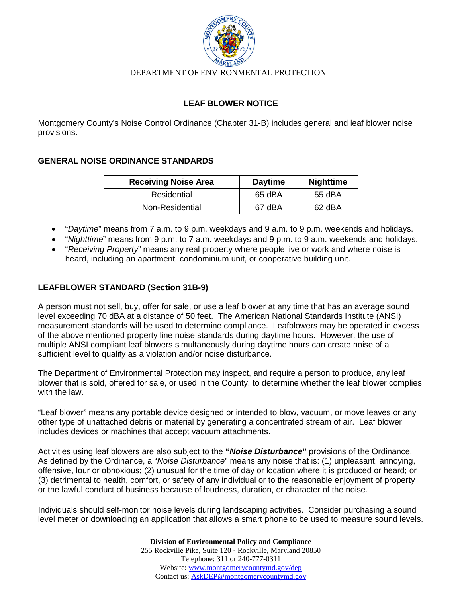

#### DEPARTMENT OF ENVIRONMENTAL PROTECTION

### **LEAF BLOWER NOTICE**

Montgomery County's Noise Control Ordinance (Chapter 31-B) includes general and leaf blower noise provisions.

### **GENERAL NOISE ORDINANCE STANDARDS**

| <b>Receiving Noise Area</b> | <b>Daytime</b> | <b>Nighttime</b> |
|-----------------------------|----------------|------------------|
| Residential                 | 65 dBA         | 55 dBA           |
| Non-Residential             | 67 dBA         | 62 dBA           |

- "*Daytime*" means from 7 a.m. to 9 p.m. weekdays and 9 a.m. to 9 p.m. weekends and holidays.
- "*Nighttime*" means from 9 p.m. to 7 a.m. weekdays and 9 p.m. to 9 a.m. weekends and holidays.
- "*Receiving Property*" means any real property where people live or work and where noise is heard, including an apartment, condominium unit, or cooperative building unit.

## **LEAFBLOWER STANDARD (Section 31B-9)**

A person must not sell, buy, offer for sale, or use a leaf blower at any time that has an average sound level exceeding 70 dBA at a distance of 50 feet. The American National Standards Institute (ANSI) measurement standards will be used to determine compliance. Leafblowers may be operated in excess of the above mentioned property line noise standards during daytime hours. However, the use of multiple ANSI compliant leaf blowers simultaneously during daytime hours can create noise of a sufficient level to qualify as a violation and/or noise disturbance.

The Department of Environmental Protection may inspect, and require a person to produce, any leaf blower that is sold, offered for sale, or used in the County, to determine whether the leaf blower complies with the law.

"Leaf blower" means any portable device designed or intended to blow, vacuum, or move leaves or any other type of unattached debris or material by generating a concentrated stream of air. Leaf blower includes devices or machines that accept vacuum attachments.

Activities using leaf blowers are also subject to the **"***Noise Disturbance***"** provisions of the Ordinance. As defined by the Ordinance, a "*Noise Disturbance*" means any noise that is: (1) unpleasant, annoying, offensive, lour or obnoxious; (2) unusual for the time of day or location where it is produced or heard; or (3) detrimental to health, comfort, or safety of any individual or to the reasonable enjoyment of property or the lawful conduct of business because of loudness, duration, or character of the noise.

Individuals should self-monitor noise levels during landscaping activities. Consider purchasing a sound level meter or downloading an application that allows a smart phone to be used to measure sound levels.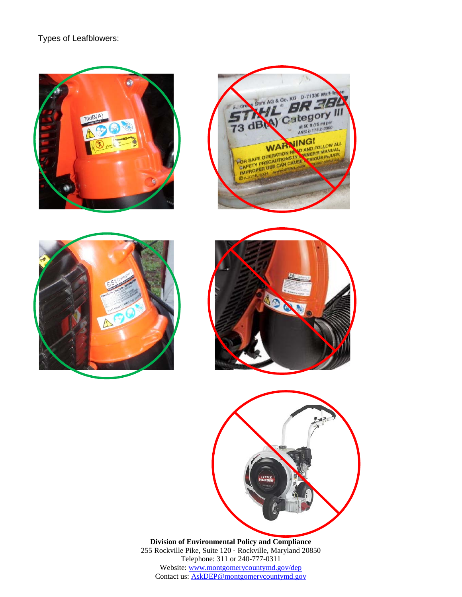# Types of Leafblowers:











**Division of Environmental Policy and Compliance** 255 Rockville Pike, Suite 120 · Rockville, Maryland 20850 Telephone: 311 or 240-777-0311 Website: [www.montgomerycountymd.gov/dep](http://www.montgomerycountymd.gov/dep) Contact us: [AskDEP@montgomerycountymd.gov](mailto:AskDEP@montgomerycountymd.gov)